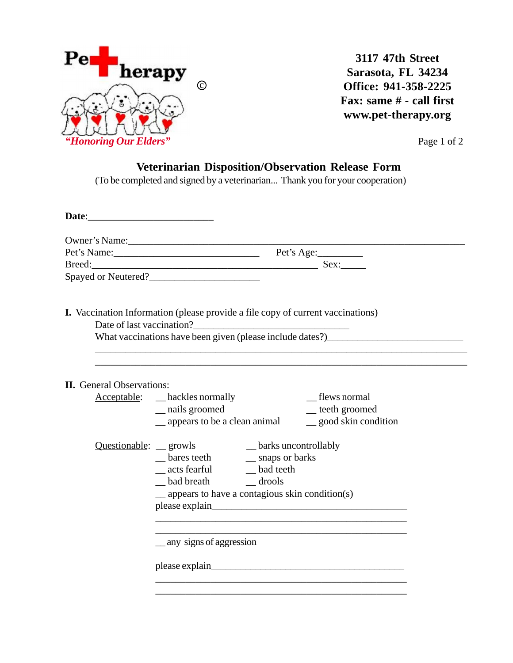

**3117 47th Street Sarasota, FL 34234 Office: 941-358-2225 Fax: same # - call first www.pet-therapy.org**

## **Veterinarian Disposition/Observation Release Form**

(To be completed and signed by a veterinarian... Thank you for your cooperation)

|                                  | Owner's Name:                                                                                                                                                                                                                  |
|----------------------------------|--------------------------------------------------------------------------------------------------------------------------------------------------------------------------------------------------------------------------------|
|                                  | Pet's Name: Pet's Age:                                                                                                                                                                                                         |
|                                  |                                                                                                                                                                                                                                |
|                                  | Spayed or Neutered?                                                                                                                                                                                                            |
|                                  | <b>I.</b> Vaccination Information (please provide a file copy of current vaccinations)                                                                                                                                         |
|                                  | What vaccinations have been given (please include dates?)________________________                                                                                                                                              |
| <b>II.</b> General Observations: |                                                                                                                                                                                                                                |
|                                  | <b>Acceptable:</b> __ hackles normally<br>_flews normal                                                                                                                                                                        |
|                                  | _ nails groomed<br>_teeth groomed                                                                                                                                                                                              |
|                                  | _ appears to be a clean animal<br>$\equiv$ good skin condition                                                                                                                                                                 |
|                                  |                                                                                                                                                                                                                                |
|                                  | Questionable: growls __ barks uncontrollably<br>__ bares teeth __ snaps or barks                                                                                                                                               |
|                                  | __ acts fearful ___ bad teeth                                                                                                                                                                                                  |
|                                  |                                                                                                                                                                                                                                |
|                                  | $\equiv$ appears to have a contagious skin condition(s)                                                                                                                                                                        |
|                                  | please explain here are all the set of the set of the set of the set of the set of the set of the set of the set of the set of the set of the set of the set of the set of the set of the set of the set of the set of the set |
|                                  | <u>qual</u> any signs of aggression                                                                                                                                                                                            |
|                                  |                                                                                                                                                                                                                                |
|                                  | please explain the contract of the contract of the contract of the contract of the contract of the contract of the contract of the contract of the contract of the contract of the contract of the contract of the contract of |
|                                  |                                                                                                                                                                                                                                |